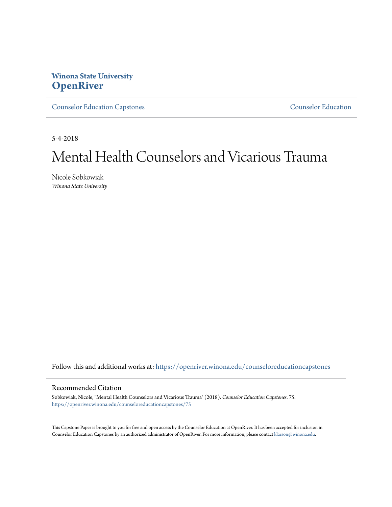# **Winona State University [OpenRiver](https://openriver.winona.edu?utm_source=openriver.winona.edu%2Fcounseloreducationcapstones%2F75&utm_medium=PDF&utm_campaign=PDFCoverPages)**

[Counselor Education Capstones](https://openriver.winona.edu/counseloreducationcapstones?utm_source=openriver.winona.edu%2Fcounseloreducationcapstones%2F75&utm_medium=PDF&utm_campaign=PDFCoverPages) [Counselor Education](https://openriver.winona.edu/counseloreducation?utm_source=openriver.winona.edu%2Fcounseloreducationcapstones%2F75&utm_medium=PDF&utm_campaign=PDFCoverPages)

5-4-2018

# Mental Health Counselors and Vicarious Trauma

Nicole Sobkowiak *Winona State University*

Follow this and additional works at: [https://openriver.winona.edu/counseloreducationcapstones](https://openriver.winona.edu/counseloreducationcapstones?utm_source=openriver.winona.edu%2Fcounseloreducationcapstones%2F75&utm_medium=PDF&utm_campaign=PDFCoverPages)

#### Recommended Citation

Sobkowiak, Nicole, "Mental Health Counselors and Vicarious Trauma" (2018). *Counselor Education Capstones*. 75. [https://openriver.winona.edu/counseloreducationcapstones/75](https://openriver.winona.edu/counseloreducationcapstones/75?utm_source=openriver.winona.edu%2Fcounseloreducationcapstones%2F75&utm_medium=PDF&utm_campaign=PDFCoverPages)

This Capstone Paper is brought to you for free and open access by the Counselor Education at OpenRiver. It has been accepted for inclusion in Counselor Education Capstones by an authorized administrator of OpenRiver. For more information, please contact [klarson@winona.edu](mailto:klarson@winona.edu).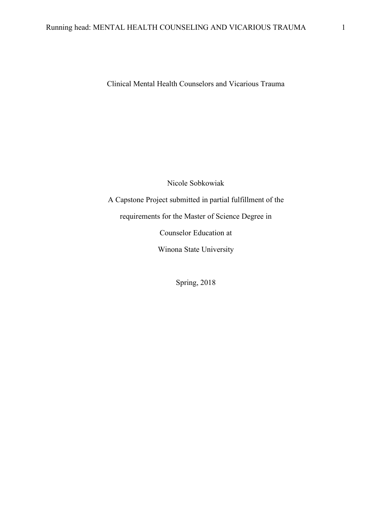Clinical Mental Health Counselors and Vicarious Trauma

Nicole Sobkowiak

A Capstone Project submitted in partial fulfillment of the

requirements for the Master of Science Degree in

Counselor Education at

Winona State University

Spring, 2018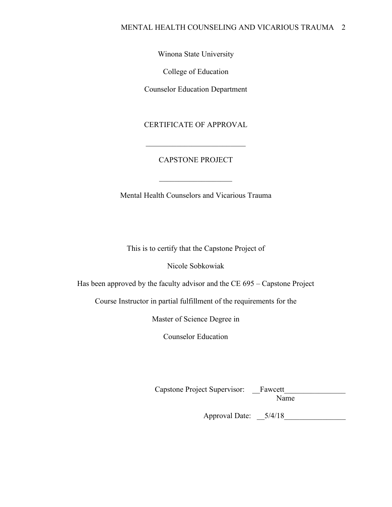Winona State University

College of Education

Counselor Education Department

CERTIFICATE OF APPROVAL

# CAPSTONE PROJECT

 $\overline{\phantom{a}}$  , where  $\overline{\phantom{a}}$ 

\_\_\_\_\_\_\_\_\_\_\_\_\_\_\_\_\_\_\_\_\_\_\_\_\_\_

Mental Health Counselors and Vicarious Trauma

This is to certify that the Capstone Project of

Nicole Sobkowiak

Has been approved by the faculty advisor and the CE 695 – Capstone Project

Course Instructor in partial fulfillment of the requirements for the

Master of Science Degree in

Counselor Education

Capstone Project Supervisor: \_\_Fawcett\_\_\_\_\_\_\_\_\_\_\_\_\_\_\_\_

Name

Approval Date: \_\_5/4/18\_\_\_\_\_\_\_\_\_\_\_\_\_\_\_\_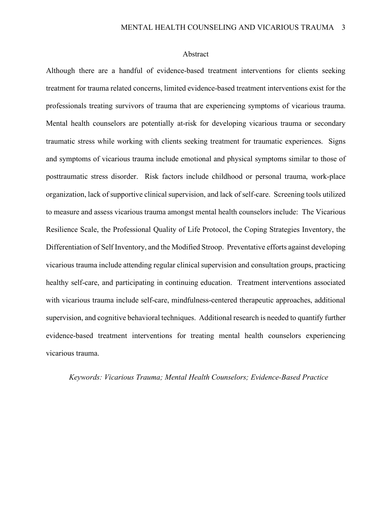#### Abstract

Although there are a handful of evidence-based treatment interventions for clients seeking treatment for trauma related concerns, limited evidence-based treatment interventions exist for the professionals treating survivors of trauma that are experiencing symptoms of vicarious trauma. Mental health counselors are potentially at-risk for developing vicarious trauma or secondary traumatic stress while working with clients seeking treatment for traumatic experiences. Signs and symptoms of vicarious trauma include emotional and physical symptoms similar to those of posttraumatic stress disorder. Risk factors include childhood or personal trauma, work-place organization, lack of supportive clinical supervision, and lack of self-care. Screening tools utilized to measure and assess vicarious trauma amongst mental health counselors include: The Vicarious Resilience Scale, the Professional Quality of Life Protocol, the Coping Strategies Inventory, the Differentiation of Self Inventory, and the Modified Stroop. Preventative efforts against developing vicarious trauma include attending regular clinical supervision and consultation groups, practicing healthy self-care, and participating in continuing education. Treatment interventions associated with vicarious trauma include self-care, mindfulness-centered therapeutic approaches, additional supervision, and cognitive behavioral techniques. Additional research is needed to quantify further evidence-based treatment interventions for treating mental health counselors experiencing vicarious trauma.

#### *Keywords: Vicarious Trauma; Mental Health Counselors; Evidence-Based Practice*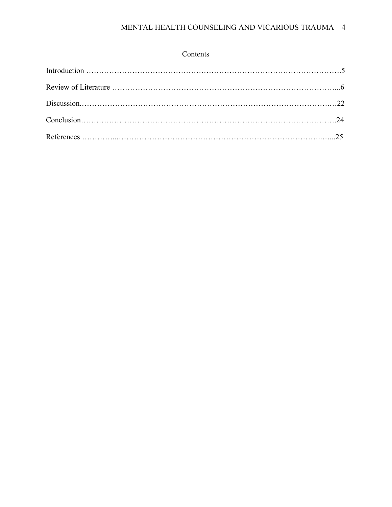| Contents |
|----------|
|----------|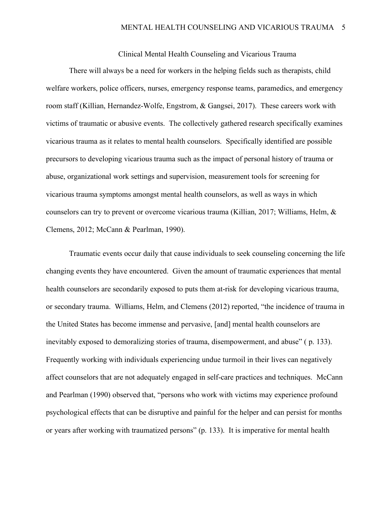Clinical Mental Health Counseling and Vicarious Trauma

There will always be a need for workers in the helping fields such as therapists, child welfare workers, police officers, nurses, emergency response teams, paramedics, and emergency room staff (Killian, Hernandez-Wolfe, Engstrom, & Gangsei, 2017). These careers work with victims of traumatic or abusive events. The collectively gathered research specifically examines vicarious trauma as it relates to mental health counselors. Specifically identified are possible precursors to developing vicarious trauma such as the impact of personal history of trauma or abuse, organizational work settings and supervision, measurement tools for screening for vicarious trauma symptoms amongst mental health counselors, as well as ways in which counselors can try to prevent or overcome vicarious trauma (Killian, 2017; Williams, Helm, & Clemens, 2012; McCann & Pearlman, 1990).

Traumatic events occur daily that cause individuals to seek counseling concerning the life changing events they have encountered. Given the amount of traumatic experiences that mental health counselors are secondarily exposed to puts them at-risk for developing vicarious trauma, or secondary trauma. Williams, Helm, and Clemens (2012) reported, "the incidence of trauma in the United States has become immense and pervasive, [and] mental health counselors are inevitably exposed to demoralizing stories of trauma, disempowerment, and abuse" ( p. 133). Frequently working with individuals experiencing undue turmoil in their lives can negatively affect counselors that are not adequately engaged in self-care practices and techniques. McCann and Pearlman (1990) observed that, "persons who work with victims may experience profound psychological effects that can be disruptive and painful for the helper and can persist for months or years after working with traumatized persons" (p. 133). It is imperative for mental health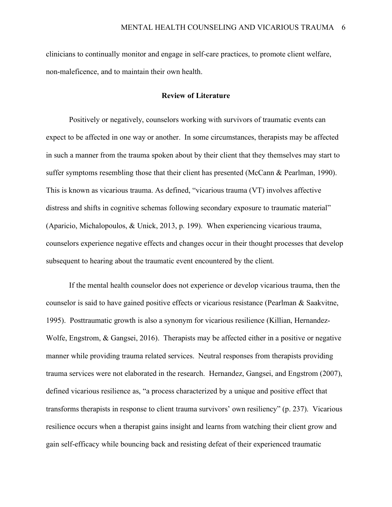clinicians to continually monitor and engage in self-care practices, to promote client welfare, non-maleficence, and to maintain their own health.

# **Review of Literature**

Positively or negatively, counselors working with survivors of traumatic events can expect to be affected in one way or another. In some circumstances, therapists may be affected in such a manner from the trauma spoken about by their client that they themselves may start to suffer symptoms resembling those that their client has presented (McCann & Pearlman, 1990). This is known as vicarious trauma. As defined, "vicarious trauma (VT) involves affective distress and shifts in cognitive schemas following secondary exposure to traumatic material" (Aparicio, Michalopoulos, & Unick, 2013, p. 199). When experiencing vicarious trauma, counselors experience negative effects and changes occur in their thought processes that develop subsequent to hearing about the traumatic event encountered by the client.

If the mental health counselor does not experience or develop vicarious trauma, then the counselor is said to have gained positive effects or vicarious resistance (Pearlman & Saakvitne, 1995). Posttraumatic growth is also a synonym for vicarious resilience (Killian, Hernandez-Wolfe, Engstrom, & Gangsei, 2016). Therapists may be affected either in a positive or negative manner while providing trauma related services. Neutral responses from therapists providing trauma services were not elaborated in the research. Hernandez, Gangsei, and Engstrom (2007), defined vicarious resilience as, "a process characterized by a unique and positive effect that transforms therapists in response to client trauma survivors' own resiliency" (p. 237). Vicarious resilience occurs when a therapist gains insight and learns from watching their client grow and gain self-efficacy while bouncing back and resisting defeat of their experienced traumatic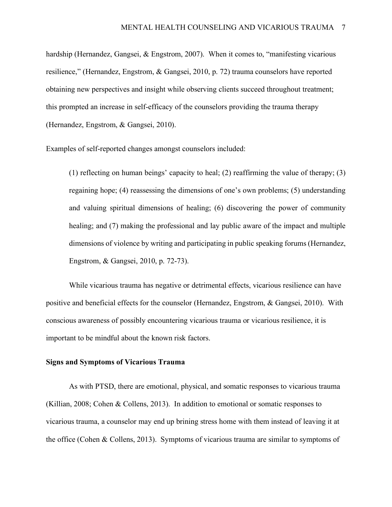hardship (Hernandez, Gangsei, & Engstrom, 2007). When it comes to, "manifesting vicarious resilience," (Hernandez, Engstrom, & Gangsei, 2010, p. 72) trauma counselors have reported obtaining new perspectives and insight while observing clients succeed throughout treatment; this prompted an increase in self-efficacy of the counselors providing the trauma therapy (Hernandez, Engstrom, & Gangsei, 2010).

Examples of self-reported changes amongst counselors included:

(1) reflecting on human beings' capacity to heal; (2) reaffirming the value of therapy; (3) regaining hope; (4) reassessing the dimensions of one's own problems; (5) understanding and valuing spiritual dimensions of healing; (6) discovering the power of community healing; and (7) making the professional and lay public aware of the impact and multiple dimensions of violence by writing and participating in public speaking forums (Hernandez, Engstrom, & Gangsei, 2010, p. 72-73).

While vicarious trauma has negative or detrimental effects, vicarious resilience can have positive and beneficial effects for the counselor (Hernandez, Engstrom, & Gangsei, 2010). With conscious awareness of possibly encountering vicarious trauma or vicarious resilience, it is important to be mindful about the known risk factors.

#### **Signs and Symptoms of Vicarious Trauma**

As with PTSD, there are emotional, physical, and somatic responses to vicarious trauma (Killian, 2008; Cohen & Collens, 2013). In addition to emotional or somatic responses to vicarious trauma, a counselor may end up brining stress home with them instead of leaving it at the office (Cohen & Collens, 2013). Symptoms of vicarious trauma are similar to symptoms of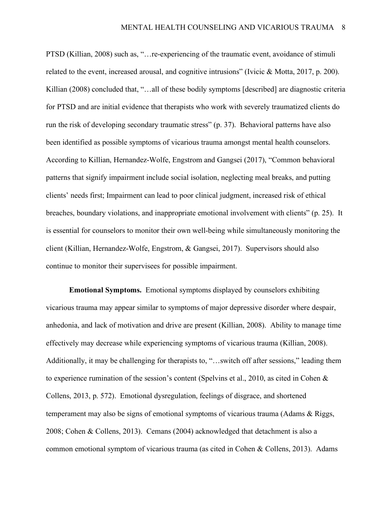PTSD (Killian, 2008) such as, "…re-experiencing of the traumatic event, avoidance of stimuli related to the event, increased arousal, and cognitive intrusions" (Ivicic & Motta, 2017, p. 200). Killian (2008) concluded that, "...all of these bodily symptoms [described] are diagnostic criteria for PTSD and are initial evidence that therapists who work with severely traumatized clients do run the risk of developing secondary traumatic stress" (p. 37). Behavioral patterns have also been identified as possible symptoms of vicarious trauma amongst mental health counselors. According to Killian, Hernandez-Wolfe, Engstrom and Gangsei (2017), "Common behavioral patterns that signify impairment include social isolation, neglecting meal breaks, and putting clients' needs first; Impairment can lead to poor clinical judgment, increased risk of ethical breaches, boundary violations, and inappropriate emotional involvement with clients" (p. 25). It is essential for counselors to monitor their own well-being while simultaneously monitoring the client (Killian, Hernandez-Wolfe, Engstrom, & Gangsei, 2017). Supervisors should also continue to monitor their supervisees for possible impairment.

**Emotional Symptoms.** Emotional symptoms displayed by counselors exhibiting vicarious trauma may appear similar to symptoms of major depressive disorder where despair, anhedonia, and lack of motivation and drive are present (Killian, 2008). Ability to manage time effectively may decrease while experiencing symptoms of vicarious trauma (Killian, 2008). Additionally, it may be challenging for therapists to, "…switch off after sessions," leading them to experience rumination of the session's content (Spelvins et al., 2010, as cited in Cohen  $\&$ Collens, 2013, p. 572). Emotional dysregulation, feelings of disgrace, and shortened temperament may also be signs of emotional symptoms of vicarious trauma (Adams & Riggs, 2008; Cohen & Collens, 2013). Cemans (2004) acknowledged that detachment is also a common emotional symptom of vicarious trauma (as cited in Cohen & Collens, 2013). Adams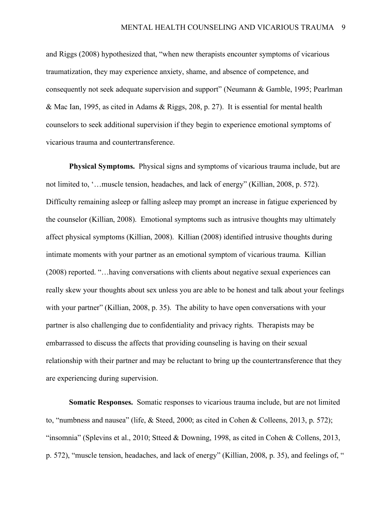and Riggs (2008) hypothesized that, "when new therapists encounter symptoms of vicarious traumatization, they may experience anxiety, shame, and absence of competence, and consequently not seek adequate supervision and support" (Neumann & Gamble, 1995; Pearlman & Mac Ian, 1995, as cited in Adams & Riggs, 208, p. 27). It is essential for mental health counselors to seek additional supervision if they begin to experience emotional symptoms of vicarious trauma and countertransference.

**Physical Symptoms.** Physical signs and symptoms of vicarious trauma include, but are not limited to, '…muscle tension, headaches, and lack of energy" (Killian, 2008, p. 572). Difficulty remaining asleep or falling asleep may prompt an increase in fatigue experienced by the counselor (Killian, 2008). Emotional symptoms such as intrusive thoughts may ultimately affect physical symptoms (Killian, 2008). Killian (2008) identified intrusive thoughts during intimate moments with your partner as an emotional symptom of vicarious trauma. Killian (2008) reported. "…having conversations with clients about negative sexual experiences can really skew your thoughts about sex unless you are able to be honest and talk about your feelings with your partner" (Killian, 2008, p. 35). The ability to have open conversations with your partner is also challenging due to confidentiality and privacy rights. Therapists may be embarrassed to discuss the affects that providing counseling is having on their sexual relationship with their partner and may be reluctant to bring up the countertransference that they are experiencing during supervision.

**Somatic Responses.** Somatic responses to vicarious trauma include, but are not limited to, "numbness and nausea" (life, & Steed, 2000; as cited in Cohen & Colleens, 2013, p. 572); "insomnia" (Splevins et al., 2010; Stteed & Downing, 1998, as cited in Cohen & Collens, 2013, p. 572), "muscle tension, headaches, and lack of energy" (Killian, 2008, p. 35), and feelings of, "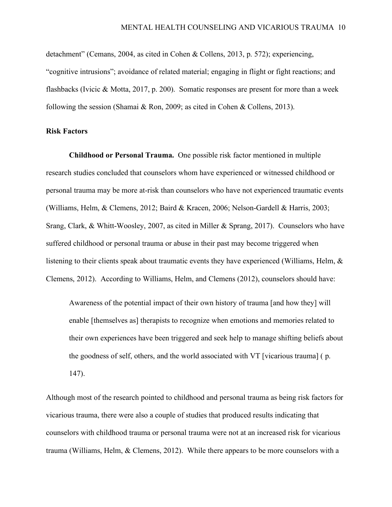detachment" (Cemans, 2004, as cited in Cohen & Collens, 2013, p. 572); experiencing, "cognitive intrusions"; avoidance of related material; engaging in flight or fight reactions; and flashbacks (Ivicic & Motta, 2017, p. 200). Somatic responses are present for more than a week following the session (Shamai & Ron, 2009; as cited in Cohen & Collens, 2013).

# **Risk Factors**

**Childhood or Personal Trauma.** One possible risk factor mentioned in multiple research studies concluded that counselors whom have experienced or witnessed childhood or personal trauma may be more at-risk than counselors who have not experienced traumatic events (Williams, Helm, & Clemens, 2012; Baird & Kracen, 2006; Nelson-Gardell & Harris, 2003; Srang, Clark, & Whitt-Woosley, 2007, as cited in Miller & Sprang, 2017). Counselors who have suffered childhood or personal trauma or abuse in their past may become triggered when listening to their clients speak about traumatic events they have experienced (Williams, Helm, & Clemens, 2012). According to Williams, Helm, and Clemens (2012), counselors should have:

Awareness of the potential impact of their own history of trauma [and how they] will enable [themselves as] therapists to recognize when emotions and memories related to their own experiences have been triggered and seek help to manage shifting beliefs about the goodness of self, others, and the world associated with VT [vicarious trauma] ( p. 147).

Although most of the research pointed to childhood and personal trauma as being risk factors for vicarious trauma, there were also a couple of studies that produced results indicating that counselors with childhood trauma or personal trauma were not at an increased risk for vicarious trauma (Williams, Helm, & Clemens, 2012). While there appears to be more counselors with a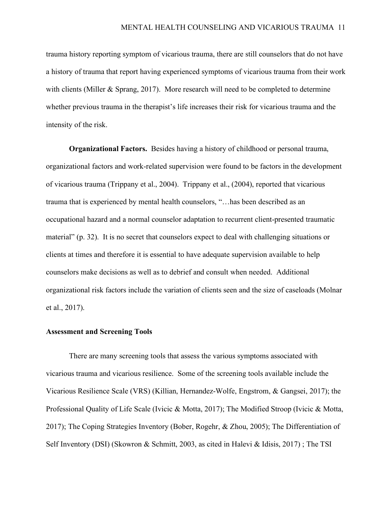trauma history reporting symptom of vicarious trauma, there are still counselors that do not have a history of trauma that report having experienced symptoms of vicarious trauma from their work with clients (Miller & Sprang, 2017). More research will need to be completed to determine whether previous trauma in the therapist's life increases their risk for vicarious trauma and the intensity of the risk.

**Organizational Factors.** Besides having a history of childhood or personal trauma, organizational factors and work-related supervision were found to be factors in the development of vicarious trauma (Trippany et al., 2004). Trippany et al., (2004), reported that vicarious trauma that is experienced by mental health counselors, "…has been described as an occupational hazard and a normal counselor adaptation to recurrent client-presented traumatic material" (p. 32). It is no secret that counselors expect to deal with challenging situations or clients at times and therefore it is essential to have adequate supervision available to help counselors make decisions as well as to debrief and consult when needed. Additional organizational risk factors include the variation of clients seen and the size of caseloads (Molnar et al., 2017).

# **Assessment and Screening Tools**

There are many screening tools that assess the various symptoms associated with vicarious trauma and vicarious resilience. Some of the screening tools available include the Vicarious Resilience Scale (VRS) (Killian, Hernandez-Wolfe, Engstrom, & Gangsei, 2017); the Professional Quality of Life Scale (Ivicic & Motta, 2017); The Modified Stroop (Ivicic & Motta, 2017); The Coping Strategies Inventory (Bober, Rogehr, & Zhou, 2005); The Differentiation of Self Inventory (DSI) (Skowron & Schmitt, 2003, as cited in Halevi & Idisis, 2017) ; The TSI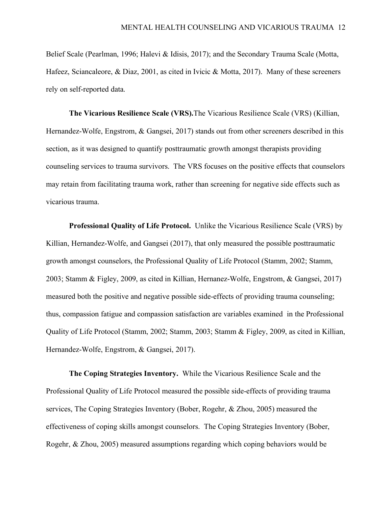Belief Scale (Pearlman, 1996; Halevi & Idisis, 2017); and the Secondary Trauma Scale (Motta, Hafeez, Sciancaleore, & Diaz, 2001, as cited in Ivicic & Motta, 2017). Many of these screeners rely on self-reported data.

**The Vicarious Resilience Scale (VRS).**The Vicarious Resilience Scale (VRS) (Killian, Hernandez-Wolfe, Engstrom, & Gangsei, 2017) stands out from other screeners described in this section, as it was designed to quantify posttraumatic growth amongst therapists providing counseling services to trauma survivors. The VRS focuses on the positive effects that counselors may retain from facilitating trauma work, rather than screening for negative side effects such as vicarious trauma.

**Professional Quality of Life Protocol.** Unlike the Vicarious Resilience Scale (VRS) by Killian, Hernandez-Wolfe, and Gangsei (2017), that only measured the possible posttraumatic growth amongst counselors, the Professional Quality of Life Protocol (Stamm, 2002; Stamm, 2003; Stamm & Figley, 2009, as cited in Killian, Hernanez-Wolfe, Engstrom, & Gangsei, 2017) measured both the positive and negative possible side-effects of providing trauma counseling; thus, compassion fatigue and compassion satisfaction are variables examined in the Professional Quality of Life Protocol (Stamm, 2002; Stamm, 2003; Stamm & Figley, 2009, as cited in Killian, Hernandez-Wolfe, Engstrom, & Gangsei, 2017).

**The Coping Strategies Inventory.** While the Vicarious Resilience Scale and the Professional Quality of Life Protocol measured the possible side-effects of providing trauma services, The Coping Strategies Inventory (Bober, Rogehr, & Zhou, 2005) measured the effectiveness of coping skills amongst counselors. The Coping Strategies Inventory (Bober, Rogehr, & Zhou, 2005) measured assumptions regarding which coping behaviors would be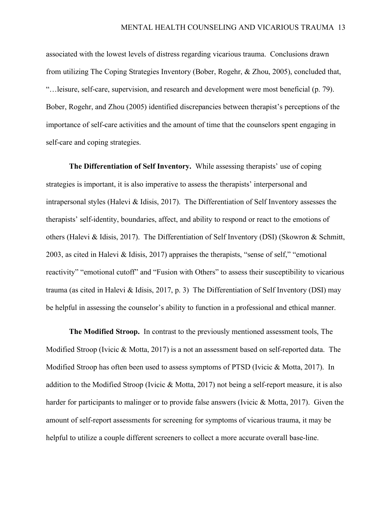associated with the lowest levels of distress regarding vicarious trauma. Conclusions drawn from utilizing The Coping Strategies Inventory (Bober, Rogehr, & Zhou, 2005), concluded that, "…leisure, self-care, supervision, and research and development were most beneficial (p. 79). Bober, Rogehr, and Zhou (2005) identified discrepancies between therapist's perceptions of the importance of self-care activities and the amount of time that the counselors spent engaging in self-care and coping strategies.

**The Differentiation of Self Inventory.** While assessing therapists' use of coping strategies is important, it is also imperative to assess the therapists' interpersonal and intrapersonal styles (Halevi & Idisis, 2017). The Differentiation of Self Inventory assesses the therapists' self-identity, boundaries, affect, and ability to respond or react to the emotions of others (Halevi & Idisis, 2017). The Differentiation of Self Inventory (DSI) (Skowron & Schmitt, 2003, as cited in Halevi & Idisis, 2017) appraises the therapists, "sense of self," "emotional reactivity" "emotional cutoff" and "Fusion with Others" to assess their susceptibility to vicarious trauma (as cited in Halevi & Idisis, 2017, p. 3) The Differentiation of Self Inventory (DSI) may be helpful in assessing the counselor's ability to function in a professional and ethical manner.

**The Modified Stroop.** In contrast to the previously mentioned assessment tools, The Modified Stroop (Ivicic & Motta, 2017) is a not an assessment based on self-reported data. The Modified Stroop has often been used to assess symptoms of PTSD (Ivicic & Motta, 2017). In addition to the Modified Stroop (Ivicic & Motta, 2017) not being a self-report measure, it is also harder for participants to malinger or to provide false answers (Ivicic & Motta, 2017). Given the amount of self-report assessments for screening for symptoms of vicarious trauma, it may be helpful to utilize a couple different screeners to collect a more accurate overall base-line.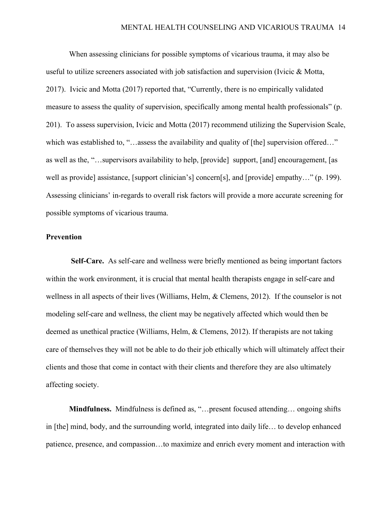When assessing clinicians for possible symptoms of vicarious trauma, it may also be useful to utilize screeners associated with job satisfaction and supervision (Ivicic & Motta, 2017). Ivicic and Motta (2017) reported that, "Currently, there is no empirically validated measure to assess the quality of supervision, specifically among mental health professionals" (p. 201). To assess supervision, Ivicic and Motta (2017) recommend utilizing the Supervision Scale, which was established to, "…assess the availability and quality of [the] supervision offered…" as well as the, "…supervisors availability to help, [provide] support, [and] encouragement, [as well as provide] assistance, [support clinician's] concern[s], and [provide] empathy..." (p. 199). Assessing clinicians' in-regards to overall risk factors will provide a more accurate screening for possible symptoms of vicarious trauma.

# **Prevention**

**Self-Care.** As self-care and wellness were briefly mentioned as being important factors within the work environment, it is crucial that mental health therapists engage in self-care and wellness in all aspects of their lives (Williams, Helm, & Clemens, 2012). If the counselor is not modeling self-care and wellness, the client may be negatively affected which would then be deemed as unethical practice (Williams, Helm, & Clemens, 2012). If therapists are not taking care of themselves they will not be able to do their job ethically which will ultimately affect their clients and those that come in contact with their clients and therefore they are also ultimately affecting society.

**Mindfulness.** Mindfulness is defined as, "…present focused attending… ongoing shifts in [the] mind, body, and the surrounding world, integrated into daily life… to develop enhanced patience, presence, and compassion…to maximize and enrich every moment and interaction with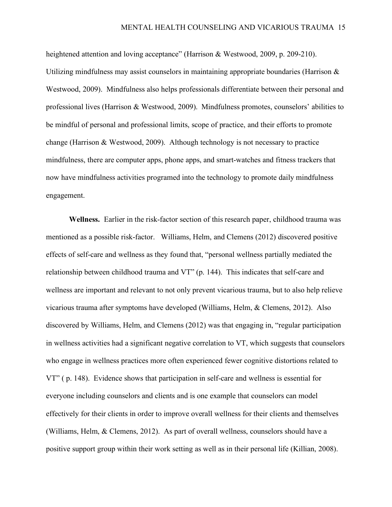heightened attention and loving acceptance" (Harrison & Westwood, 2009, p. 209-210). Utilizing mindfulness may assist counselors in maintaining appropriate boundaries (Harrison  $\&$ Westwood, 2009). Mindfulness also helps professionals differentiate between their personal and professional lives (Harrison & Westwood, 2009). Mindfulness promotes, counselors' abilities to be mindful of personal and professional limits, scope of practice, and their efforts to promote change (Harrison & Westwood, 2009). Although technology is not necessary to practice mindfulness, there are computer apps, phone apps, and smart-watches and fitness trackers that now have mindfulness activities programed into the technology to promote daily mindfulness engagement.

**Wellness.** Earlier in the risk-factor section of this research paper, childhood trauma was mentioned as a possible risk-factor. Williams, Helm, and Clemens (2012) discovered positive effects of self-care and wellness as they found that, "personal wellness partially mediated the relationship between childhood trauma and VT" (p. 144). This indicates that self-care and wellness are important and relevant to not only prevent vicarious trauma, but to also help relieve vicarious trauma after symptoms have developed (Williams, Helm, & Clemens, 2012). Also discovered by Williams, Helm, and Clemens (2012) was that engaging in, "regular participation in wellness activities had a significant negative correlation to VT, which suggests that counselors who engage in wellness practices more often experienced fewer cognitive distortions related to VT" ( p. 148). Evidence shows that participation in self-care and wellness is essential for everyone including counselors and clients and is one example that counselors can model effectively for their clients in order to improve overall wellness for their clients and themselves (Williams, Helm, & Clemens, 2012). As part of overall wellness, counselors should have a positive support group within their work setting as well as in their personal life (Killian, 2008).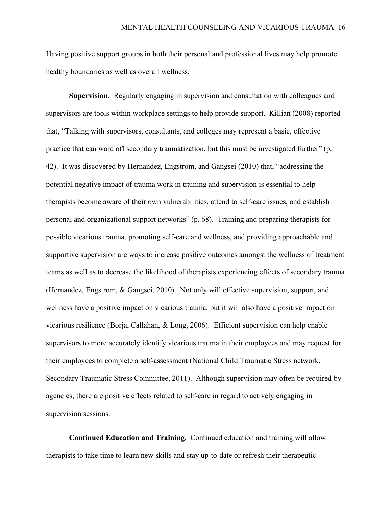Having positive support groups in both their personal and professional lives may help promote healthy boundaries as well as overall wellness.

**Supervision.** Regularly engaging in supervision and consultation with colleagues and supervisors are tools within workplace settings to help provide support. Killian (2008) reported that, "Talking with supervisors, consultants, and colleges may represent a basic, effective practice that can ward off secondary traumatization, but this must be investigated further" (p. 42). It was discovered by Hernandez, Engstrom, and Gangsei (2010) that, "addressing the potential negative impact of trauma work in training and supervision is essential to help therapists become aware of their own vulnerabilities, attend to self-care issues, and establish personal and organizational support networks" (p. 68). Training and preparing therapists for possible vicarious trauma, promoting self-care and wellness, and providing approachable and supportive supervision are ways to increase positive outcomes amongst the wellness of treatment teams as well as to decrease the likelihood of therapists experiencing effects of secondary trauma (Hernandez, Engstrom, & Gangsei, 2010). Not only will effective supervision, support, and wellness have a positive impact on vicarious trauma, but it will also have a positive impact on vicarious resilience (Borja, Callahan, & Long, 2006). Efficient supervision can help enable supervisors to more accurately identify vicarious trauma in their employees and may request for their employees to complete a self-assessment (National Child Traumatic Stress network, Secondary Traumatic Stress Committee, 2011). Although supervision may often be required by agencies, there are positive effects related to self-care in regard to actively engaging in supervision sessions.

**Continued Education and Training.** Continued education and training will allow therapists to take time to learn new skills and stay up-to-date or refresh their therapeutic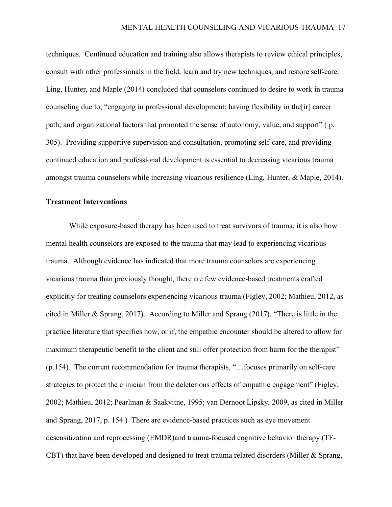techniques. Continued education and training also allows therapists to review ethical principles, consult with other professionals in the field, learn and try new techniques, and restore self-care. Ling, Hunter, and Maple (2014) concluded that counselors continued to desire to work in trauma counseling due to, "engaging in professional development; having flexibility in the[ir] career path; and organizational factors that promoted the sense of autonomy, value, and support" ( p. 305). Providing supportive supervision and consultation, promoting self-care, and providing continued education and professional development is essential to decreasing vicarious trauma amongst trauma counselors while increasing vicarious resilience (Ling, Hunter, & Maple, 2014).

### **Treatment Interventions**

While exposure-based therapy has been used to treat survivors of trauma, it is also how mental health counselors are exposed to the trauma that may lead to experiencing vicarious trauma. Although evidence has indicated that more trauma counselors are experiencing vicarious trauma than previously thought, there are few evidence-based treatments crafted explicitly for treating counselors experiencing vicarious trauma (Figley, 2002; Mathieu, 2012, as cited in Miller & Sprang, 2017). According to Miller and Sprang (2017), "There is little in the practice literature that specifies how, or if, the empathic encounter should be altered to allow for maximum therapeutic benefit to the client and still offer protection from harm for the therapist" (p.154). The current recommendation for trauma therapists, "…focuses primarily on self-care strategies to protect the clinician from the deleterious effects of empathic engagement" (Figley, 2002; Mathieu, 2012; Pearlman & Saakvitne, 1995; van Dernoot Lipsky, 2009, as cited in Miller and Sprang, 2017, p. 154.) There are evidence-based practices such as eye movement desensitization and reprocessing (EMDR)and trauma-focused cognitive behavior therapy (TF-CBT) that have been developed and designed to treat trauma related disorders (Miller & Sprang,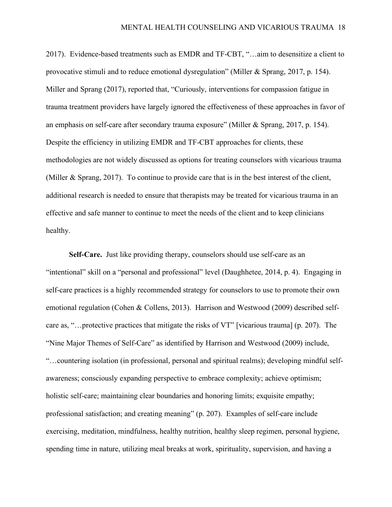2017). Evidence-based treatments such as EMDR and TF-CBT, "…aim to desensitize a client to provocative stimuli and to reduce emotional dysregulation" (Miller & Sprang, 2017, p. 154). Miller and Sprang (2017), reported that, "Curiously, interventions for compassion fatigue in trauma treatment providers have largely ignored the effectiveness of these approaches in favor of an emphasis on self-care after secondary trauma exposure" (Miller & Sprang, 2017, p. 154). Despite the efficiency in utilizing EMDR and TF-CBT approaches for clients, these methodologies are not widely discussed as options for treating counselors with vicarious trauma (Miller & Sprang, 2017). To continue to provide care that is in the best interest of the client, additional research is needed to ensure that therapists may be treated for vicarious trauma in an effective and safe manner to continue to meet the needs of the client and to keep clinicians healthy.

**Self-Care.** Just like providing therapy, counselors should use self-care as an "intentional" skill on a "personal and professional" level (Daughhetee, 2014, p. 4). Engaging in self-care practices is a highly recommended strategy for counselors to use to promote their own emotional regulation (Cohen & Collens, 2013). Harrison and Westwood (2009) described selfcare as, "…protective practices that mitigate the risks of VT" [vicarious trauma] (p. 207). The "Nine Major Themes of Self-Care" as identified by Harrison and Westwood (2009) include, "…countering isolation (in professional, personal and spiritual realms); developing mindful selfawareness; consciously expanding perspective to embrace complexity; achieve optimism; holistic self-care; maintaining clear boundaries and honoring limits; exquisite empathy; professional satisfaction; and creating meaning" (p. 207). Examples of self-care include exercising, meditation, mindfulness, healthy nutrition, healthy sleep regimen, personal hygiene, spending time in nature, utilizing meal breaks at work, spirituality, supervision, and having a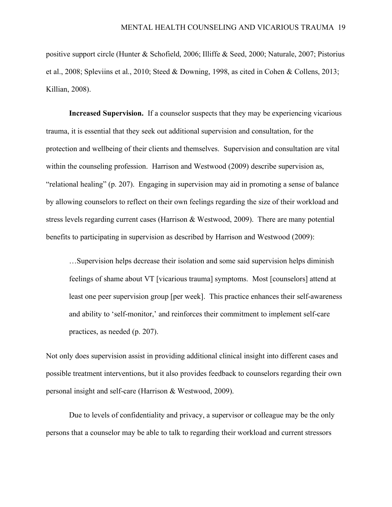positive support circle (Hunter & Schofield, 2006; Illiffe & Seed, 2000; Naturale, 2007; Pistorius et al., 2008; Spleviins et al., 2010; Steed & Downing, 1998, as cited in Cohen & Collens, 2013; Killian, 2008).

**Increased Supervision.** If a counselor suspects that they may be experiencing vicarious trauma, it is essential that they seek out additional supervision and consultation, for the protection and wellbeing of their clients and themselves. Supervision and consultation are vital within the counseling profession. Harrison and Westwood (2009) describe supervision as, "relational healing" (p. 207). Engaging in supervision may aid in promoting a sense of balance by allowing counselors to reflect on their own feelings regarding the size of their workload and stress levels regarding current cases (Harrison & Westwood, 2009). There are many potential benefits to participating in supervision as described by Harrison and Westwood (2009):

…Supervision helps decrease their isolation and some said supervision helps diminish feelings of shame about VT [vicarious trauma] symptoms. Most [counselors] attend at least one peer supervision group [per week]. This practice enhances their self-awareness and ability to 'self-monitor,' and reinforces their commitment to implement self-care practices, as needed (p. 207).

Not only does supervision assist in providing additional clinical insight into different cases and possible treatment interventions, but it also provides feedback to counselors regarding their own personal insight and self-care (Harrison & Westwood, 2009).

Due to levels of confidentiality and privacy, a supervisor or colleague may be the only persons that a counselor may be able to talk to regarding their workload and current stressors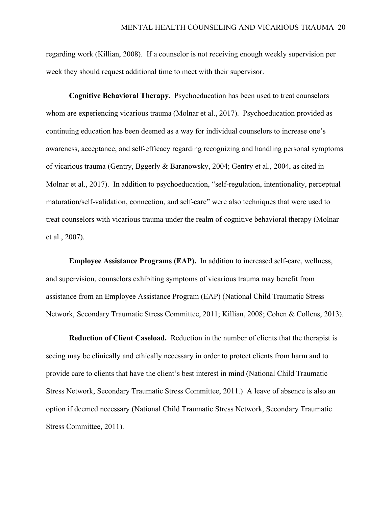regarding work (Killian, 2008). If a counselor is not receiving enough weekly supervision per week they should request additional time to meet with their supervisor.

**Cognitive Behavioral Therapy.** Psychoeducation has been used to treat counselors whom are experiencing vicarious trauma (Molnar et al., 2017). Psychoeducation provided as continuing education has been deemed as a way for individual counselors to increase one's awareness, acceptance, and self-efficacy regarding recognizing and handling personal symptoms of vicarious trauma (Gentry, Bggerly & Baranowsky, 2004; Gentry et al., 2004, as cited in Molnar et al., 2017). In addition to psychoeducation, "self-regulation, intentionality, perceptual maturation/self-validation, connection, and self-care" were also techniques that were used to treat counselors with vicarious trauma under the realm of cognitive behavioral therapy (Molnar et al., 2007).

**Employee Assistance Programs (EAP).** In addition to increased self-care, wellness, and supervision, counselors exhibiting symptoms of vicarious trauma may benefit from assistance from an Employee Assistance Program (EAP) (National Child Traumatic Stress Network, Secondary Traumatic Stress Committee, 2011; Killian, 2008; Cohen & Collens, 2013).

**Reduction of Client Caseload.** Reduction in the number of clients that the therapist is seeing may be clinically and ethically necessary in order to protect clients from harm and to provide care to clients that have the client's best interest in mind (National Child Traumatic Stress Network, Secondary Traumatic Stress Committee, 2011.) A leave of absence is also an option if deemed necessary (National Child Traumatic Stress Network, Secondary Traumatic Stress Committee, 2011).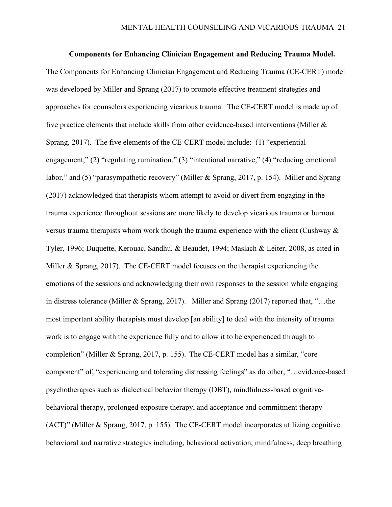#### **Components for Enhancing Clinician Engagement and Reducing Trauma Model.**

The Components for Enhancing Clinician Engagement and Reducing Trauma (CE-CERT) model was developed by Miller and Sprang (2017) to promote effective treatment strategies and approaches for counselors experiencing vicarious trauma. The CE-CERT model is made up of five practice elements that include skills from other evidence-based interventions (Miller  $\&$ Sprang, 2017). The five elements of the CE-CERT model include: (1) "experiential engagement," (2) "regulating rumination," (3) "intentional narrative," (4) "reducing emotional labor," and (5) "parasympathetic recovery" (Miller & Sprang, 2017, p. 154). Miller and Sprang (2017) acknowledged that therapists whom attempt to avoid or divert from engaging in the trauma experience throughout sessions are more likely to develop vicarious trauma or burnout versus trauma therapists whom work though the trauma experience with the client (Cushway & Tyler, 1996; Duquette, Kerouac, Sandhu, & Beaudet, 1994; Maslach & Leiter, 2008, as cited in Miller & Sprang, 2017). The CE-CERT model focuses on the therapist experiencing the emotions of the sessions and acknowledging their own responses to the session while engaging in distress tolerance (Miller & Sprang, 2017). Miller and Sprang (2017) reported that, "…the most important ability therapists must develop [an ability] to deal with the intensity of trauma work is to engage with the experience fully and to allow it to be experienced through to completion" (Miller & Sprang, 2017, p. 155). The CE-CERT model has a similar, "core component" of, "experiencing and tolerating distressing feelings" as do other, "…evidence-based psychotherapies such as dialectical behavior therapy (DBT), mindfulness-based cognitivebehavioral therapy, prolonged exposure therapy, and acceptance and commitment therapy (ACT)" (Miller & Sprang, 2017, p. 155). The CE-CERT model incorporates utilizing cognitive behavioral and narrative strategies including, behavioral activation, mindfulness, deep breathing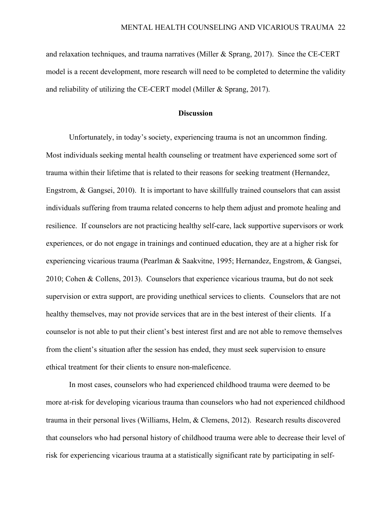and relaxation techniques, and trauma narratives (Miller  $\&$  Sprang, 2017). Since the CE-CERT model is a recent development, more research will need to be completed to determine the validity and reliability of utilizing the CE-CERT model (Miller & Sprang, 2017).

#### **Discussion**

Unfortunately, in today's society, experiencing trauma is not an uncommon finding. Most individuals seeking mental health counseling or treatment have experienced some sort of trauma within their lifetime that is related to their reasons for seeking treatment (Hernandez, Engstrom, & Gangsei, 2010). It is important to have skillfully trained counselors that can assist individuals suffering from trauma related concerns to help them adjust and promote healing and resilience. If counselors are not practicing healthy self-care, lack supportive supervisors or work experiences, or do not engage in trainings and continued education, they are at a higher risk for experiencing vicarious trauma (Pearlman & Saakvitne, 1995; Hernandez, Engstrom, & Gangsei, 2010; Cohen & Collens, 2013). Counselors that experience vicarious trauma, but do not seek supervision or extra support, are providing unethical services to clients. Counselors that are not healthy themselves, may not provide services that are in the best interest of their clients. If a counselor is not able to put their client's best interest first and are not able to remove themselves from the client's situation after the session has ended, they must seek supervision to ensure ethical treatment for their clients to ensure non-maleficence.

In most cases, counselors who had experienced childhood trauma were deemed to be more at-risk for developing vicarious trauma than counselors who had not experienced childhood trauma in their personal lives (Williams, Helm, & Clemens, 2012). Research results discovered that counselors who had personal history of childhood trauma were able to decrease their level of risk for experiencing vicarious trauma at a statistically significant rate by participating in self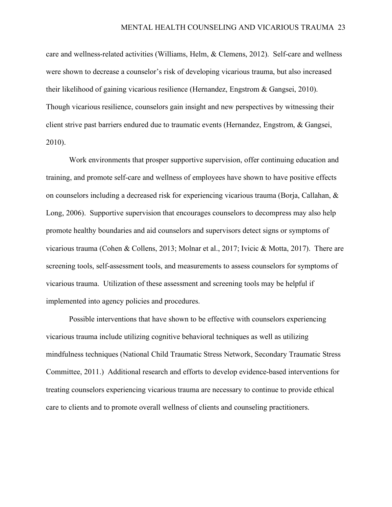care and wellness-related activities (Williams, Helm, & Clemens, 2012). Self-care and wellness were shown to decrease a counselor's risk of developing vicarious trauma, but also increased their likelihood of gaining vicarious resilience (Hernandez, Engstrom & Gangsei, 2010). Though vicarious resilience, counselors gain insight and new perspectives by witnessing their client strive past barriers endured due to traumatic events (Hernandez, Engstrom, & Gangsei, 2010).

Work environments that prosper supportive supervision, offer continuing education and training, and promote self-care and wellness of employees have shown to have positive effects on counselors including a decreased risk for experiencing vicarious trauma (Borja, Callahan, & Long, 2006). Supportive supervision that encourages counselors to decompress may also help promote healthy boundaries and aid counselors and supervisors detect signs or symptoms of vicarious trauma (Cohen & Collens, 2013; Molnar et al., 2017; Ivicic & Motta, 2017). There are screening tools, self-assessment tools, and measurements to assess counselors for symptoms of vicarious trauma. Utilization of these assessment and screening tools may be helpful if implemented into agency policies and procedures.

Possible interventions that have shown to be effective with counselors experiencing vicarious trauma include utilizing cognitive behavioral techniques as well as utilizing mindfulness techniques (National Child Traumatic Stress Network, Secondary Traumatic Stress Committee, 2011.) Additional research and efforts to develop evidence-based interventions for treating counselors experiencing vicarious trauma are necessary to continue to provide ethical care to clients and to promote overall wellness of clients and counseling practitioners.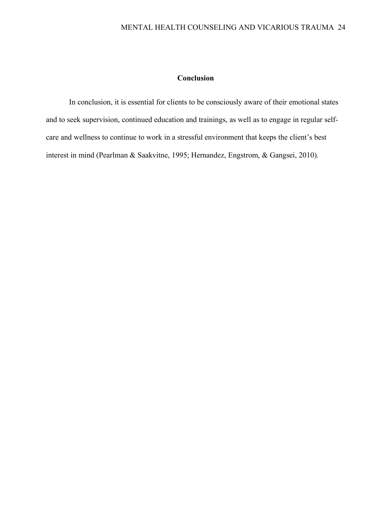# **Conclusion**

In conclusion, it is essential for clients to be consciously aware of their emotional states and to seek supervision, continued education and trainings, as well as to engage in regular selfcare and wellness to continue to work in a stressful environment that keeps the client's best interest in mind (Pearlman & Saakvitne, 1995; Hernandez, Engstrom, & Gangsei, 2010).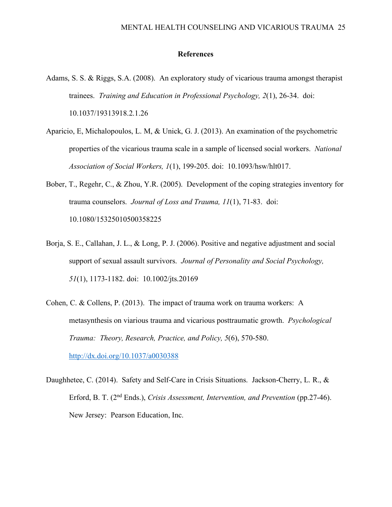# **References**

- Adams, S. S. & Riggs, S.A. (2008). An exploratory study of vicarious trauma amongst therapist trainees. *Training and Education in Professional Psychology, 2*(1), 26-34. doi: 10.1037/19313918.2.1.26
- Aparicio, E, Michalopoulos, L. M, & Unick, G. J. (2013). An examination of the psychometric properties of the vicarious trauma scale in a sample of licensed social workers. *National Association of Social Workers, 1*(1), 199-205. doi: 10.1093/hsw/hlt017.
- Bober, T., Regehr, C., & Zhou, Y.R. (2005). Development of the coping strategies inventory for trauma counselors. *Journal of Loss and Trauma, 11*(1), 71-83. doi: 10.1080/15325010500358225
- Borja, S. E., Callahan, J. L., & Long, P. J. (2006). Positive and negative adjustment and social support of sexual assault survivors. *Journal of Personality and Social Psychology, 51*(1), 1173-1182. doi: 10.1002/jts.20169
- Cohen, C. & Collens, P. (2013). The impact of trauma work on trauma workers: A metasynthesis on viarious trauma and vicarious posttraumatic growth. *Psychological Trauma: Theory, Research, Practice, and Policy, 5*(6), 570-580. http://dx.doi.org/10.1037/a0030388
- Daughhetee, C. (2014). Safety and Self-Care in Crisis Situations. Jackson-Cherry, L. R., & Erford, B. T. (2nd Ends.), *Crisis Assessment, Intervention, and Prevention* (pp.27-46). New Jersey: Pearson Education, Inc.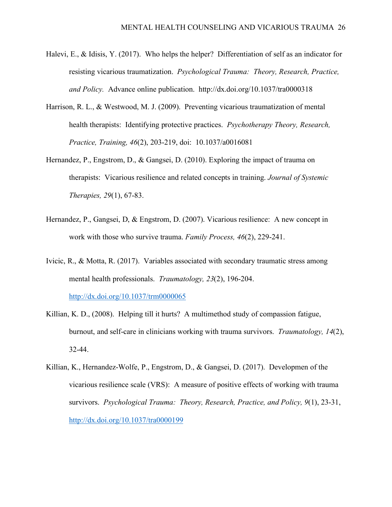- Halevi, E., & Idisis, Y. (2017). Who helps the helper? Differentiation of self as an indicator for resisting vicarious traumatization. *Psychological Trauma: Theory, Research, Practice, and Policy.* Advance online publication. http://dx.doi.org/10.1037/tra0000318
- Harrison, R. L., & Westwood, M. J. (2009). Preventing vicarious traumatization of mental health therapists: Identifying protective practices. *Psychotherapy Theory, Research, Practice, Training, 46*(2), 203-219, doi: 10.1037/a0016081
- Hernandez, P., Engstrom, D., & Gangsei, D. (2010). Exploring the impact of trauma on therapists: Vicarious resilience and related concepts in training. *Journal of Systemic Therapies, 29*(1), 67-83.
- Hernandez, P., Gangsei, D, & Engstrom, D. (2007). Vicarious resilience: A new concept in work with those who survive trauma. *Family Process, 46*(2), 229-241.
- Ivicic, R., & Motta, R. (2017). Variables associated with secondary traumatic stress among mental health professionals. *Traumatology, 23*(2), 196-204. http://dx.doi.org/10.1037/trm0000065
- Killian, K. D., (2008). Helping till it hurts? A multimethod study of compassion fatigue, burnout, and self-care in clinicians working with trauma survivors. *Traumatology, 14*(2), 32-44.
- Killian, K., Hernandez-Wolfe, P., Engstrom, D., & Gangsei, D. (2017). Developmen of the vicarious resilience scale (VRS): A measure of positive effects of working with trauma survivors. *Psychological Trauma: Theory, Research, Practice, and Policy, 9*(1), 23-31, http://dx.doi.org/10.1037/tra0000199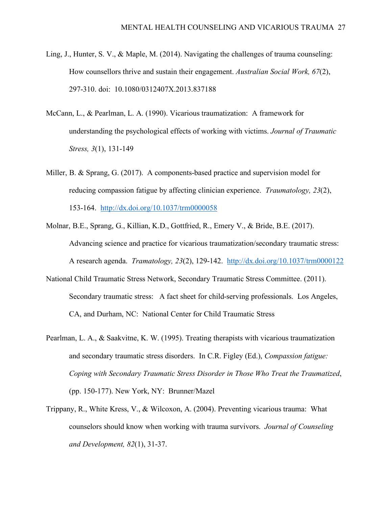- Ling, J., Hunter, S. V., & Maple, M. (2014). Navigating the challenges of trauma counseling: How counsellors thrive and sustain their engagement. *Australian Social Work, 67*(2), 297-310. doi: 10.1080/0312407X.2013.837188
- McCann, L., & Pearlman, L. A. (1990). Vicarious traumatization: A framework for understanding the psychological effects of working with victims. *Journal of Traumatic Stress, 3*(1), 131-149
- Miller, B. & Sprang, G. (2017). A components-based practice and supervision model for reducing compassion fatigue by affecting clinician experience. *Traumatology, 23*(2), 153-164. http://dx.doi.org/10.1037/trm0000058
- Molnar, B.E., Sprang, G., Killian, K.D., Gottfried, R., Emery V., & Bride, B.E. (2017). Advancing science and practice for vicarious traumatization/secondary traumatic stress: A research agenda. *Tramatology, 23*(2), 129-142. http://dx.doi.org/10.1037/trm0000122
- National Child Traumatic Stress Network, Secondary Traumatic Stress Committee. (2011). Secondary traumatic stress: A fact sheet for child-serving professionals. Los Angeles, CA, and Durham, NC: National Center for Child Traumatic Stress
- Pearlman, L. A., & Saakvitne, K. W. (1995). Treating therapists with vicarious traumatization and secondary traumatic stress disorders. In C.R. Figley (Ed.), *Compassion fatigue: Coping with Secondary Traumatic Stress Disorder in Those Who Treat the Traumatized*, (pp. 150-177). New York, NY: Brunner/Mazel
- Trippany, R., White Kress, V., & Wilcoxon, A. (2004). Preventing vicarious trauma: What counselors should know when working with trauma survivors. *Journal of Counseling and Development, 82*(1), 31-37.